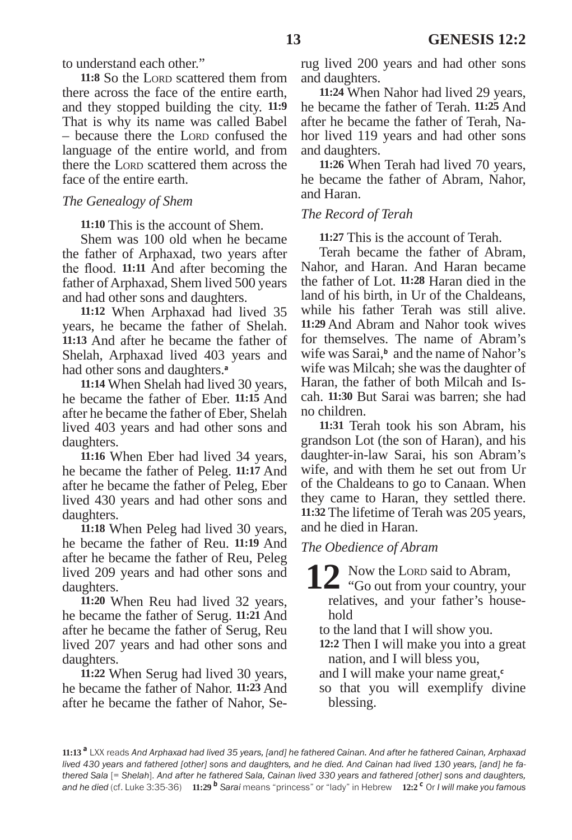to understand each other."

11:8 So the Lorp scattered them from there across the face of the entire earth, and they stopped building the city. **11:9** That is why its name was called Babel – because there the Lorp confused the language of the entire world, and from there the Lord scattered them across the face of the entire earth.

### *The Genealogy of Shem*

**11:10** This is the account of Shem.

Shem was 100 old when he became the father of Arphaxad, two years after the flood. **11:11** And after becoming the father of Arphaxad, Shem lived 500 years and had other sons and daughters.

**11:12** When Arphaxad had lived 35 years, he became the father of Shelah. **11:13** And after he became the father of Shelah, Arphaxad lived 403 years and had other sons and daughters.**<sup>a</sup>**

**11:14** When Shelah had lived 30 years, he became the father of Eber. **11:15** And after he became the father of Eber, Shelah lived 403 years and had other sons and daughters.

**11:16** When Eber had lived 34 years, he became the father of Peleg. **11:17** And after he became the father of Peleg, Eber lived 430 years and had other sons and daughters.

**11:18** When Peleg had lived 30 years, he became the father of Reu. **11:19** And after he became the father of Reu, Peleg lived 209 years and had other sons and daughters.

**11:20** When Reu had lived 32 years, he became the father of Serug. **11:21** And after he became the father of Serug, Reu lived 207 years and had other sons and daughters.

**11:22** When Serug had lived 30 years, he became the father of Nahor. **11:23** And after he became the father of Nahor, Serug lived 200 years and had other sons and daughters.

**11:24** When Nahor had lived 29 years, he became the father of Terah. **11:25** And after he became the father of Terah, Nahor lived 119 years and had other sons and daughters.

**11:26** When Terah had lived 70 years, he became the father of Abram, Nahor, and Haran.

## *The Record of Terah*

**11:27** This is the account of Terah.

Terah became the father of Abram, Nahor, and Haran. And Haran became the father of Lot. **11:28** Haran died in the land of his birth, in Ur of the Chaldeans, while his father Terah was still alive. **11:29** And Abram and Nahor took wives for themselves. The name of Abram's wife was Sarai,<sup>b</sup> and the name of Nahor's wife was Milcah; she was the daughter of Haran, the father of both Milcah and Iscah. **11:30** But Sarai was barren; she had no children.

**11:31** Terah took his son Abram, his grandson Lot (the son of Haran), and his daughter-in-law Sarai, his son Abram's wife, and with them he set out from Ur of the Chaldeans to go to Canaan. When they came to Haran, they settled there. **11:32** The lifetime of Terah was 205 years, and he died in Haran.

### *The Obedience of Abram*

**12** Now the Lord said to Abram,

 $\blacktriangle$  "Go out from your country, your relatives, and your father's household

to the land that I will show you.

- **12:2** Then I will make you into a great nation, and I will bless you,
- and I will make your name great,**<sup>c</sup>**
- so that you will exemplify divine blessing.

**11:13 <sup>a</sup>** LXX reads *And Arphaxad had lived 35 years, [and] he fathered Cainan. And after he fathered Cainan, Arphaxad lived 430 years and fathered [other] sons and daughters, and he died. And Cainan had lived 130 years, [and] he fathered Sala* [= *Shelah*]. *And after he fathered Sala, Cainan lived 330 years and fathered [other] sons and daughters, and he died* (cf. Luke 3:35-36) **11:29 <sup>b</sup>** *Sarai* means "princess" or "lady" in Hebrew **12:2 <sup>c</sup>** Or *I will make you famous*